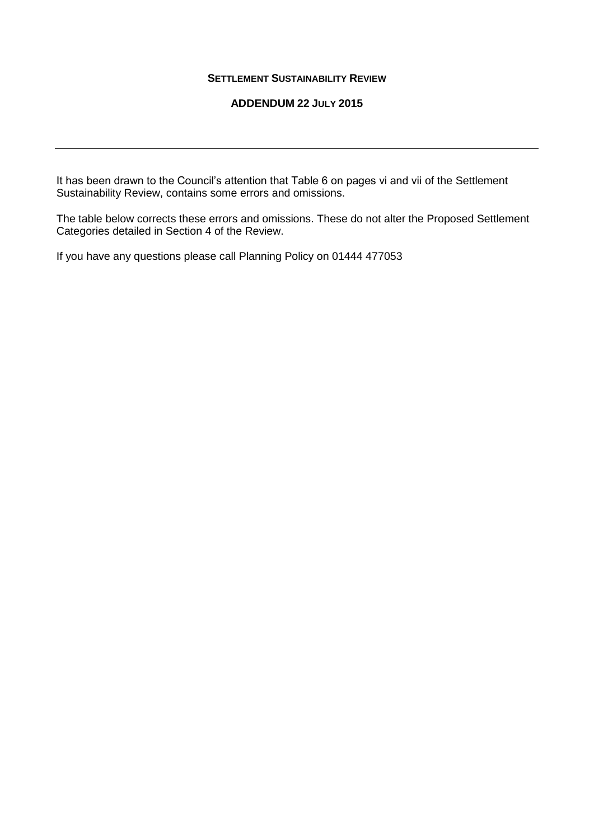## **SETTLEMENT SUSTAINABILITY REVIEW**

## **ADDENDUM 22 JULY 2015**

It has been drawn to the Council's attention that Table 6 on pages vi and vii of the Settlement Sustainability Review, contains some errors and omissions.

The table below corrects these errors and omissions. These do not alter the Proposed Settlement Categories detailed in Section 4 of the Review.

If you have any questions please call Planning Policy on 01444 477053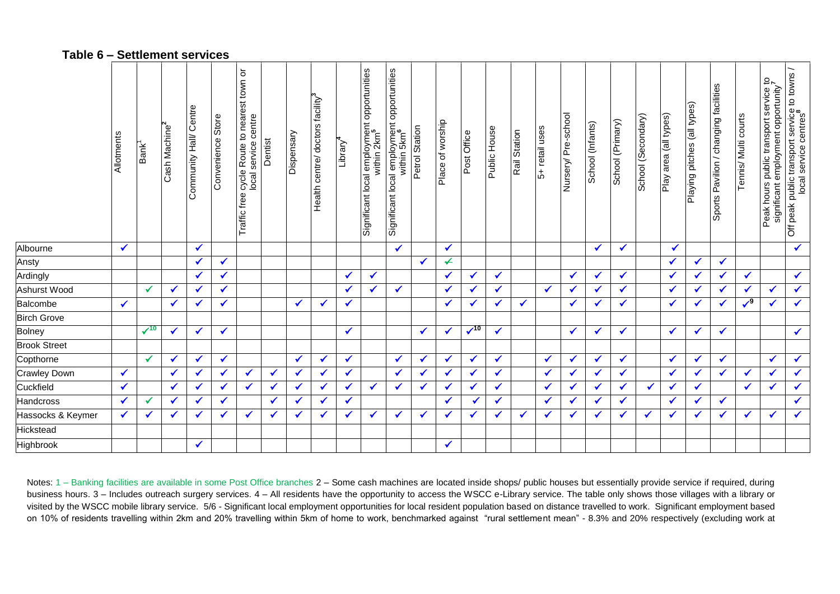## **Table 6 – Settlement services**

|                     | Allotments   | Bank <sup>1</sup> | Cash Machine <sup>2</sup> | Community Hall/ Centre | Convenience Store | ŏ<br>cycle Route to nearest town<br>local service centre<br>Traffic free | Dentist      | Dispensary   | Health centre/ doctors facility <sup>3</sup> | Library $4$  | Significant local employment opportunities<br>within 2km <sup>5</sup> | Significant local employment opportunities<br>within 5km <sup>6</sup> | Petrol Station | Place of worship         | Post Office | Public House | Rail Station | 5- retail uses | Nursery/ Pre-school | School (Infants) | School (Primary) | School (Secondary) | Play area (all types) | Playing pitches (all types) | Sports Pavilion / changing facilities | Tennis/ Multi courts | Peak hours public transport service to<br>significant employment opportunity | Off peak public transport service to towns<br>local service centres <sup>8</sup> |
|---------------------|--------------|-------------------|---------------------------|------------------------|-------------------|--------------------------------------------------------------------------|--------------|--------------|----------------------------------------------|--------------|-----------------------------------------------------------------------|-----------------------------------------------------------------------|----------------|--------------------------|-------------|--------------|--------------|----------------|---------------------|------------------|------------------|--------------------|-----------------------|-----------------------------|---------------------------------------|----------------------|------------------------------------------------------------------------------|----------------------------------------------------------------------------------|
| Albourne            | $\checkmark$ |                   |                           | $\checkmark$           |                   |                                                                          |              |              |                                              |              |                                                                       | $\checkmark$                                                          |                | $\checkmark$             |             |              |              |                |                     | $\checkmark$     | $\checkmark$     |                    | ✔                     |                             |                                       |                      |                                                                              | $\checkmark$                                                                     |
| Ansty               |              |                   |                           | $\checkmark$           | ✔                 |                                                                          |              |              |                                              |              |                                                                       |                                                                       | ✔              | $\overline{\mathcal{L}}$ |             |              |              |                |                     |                  |                  |                    | $\checkmark$          | $\checkmark$                | $\checkmark$                          |                      |                                                                              |                                                                                  |
| Ardingly            |              |                   |                           | $\checkmark$           | ✔                 |                                                                          |              |              |                                              | $\checkmark$ | ✔                                                                     |                                                                       |                | $\checkmark$             | ✓           | $\checkmark$ |              |                | $\checkmark$        | $\checkmark$     | ✔                |                    | $\checkmark$          | $\checkmark$                | $\checkmark$                          | $\checkmark$         |                                                                              | $\checkmark$                                                                     |
| Ashurst Wood        |              | $\checkmark$      | $\sqrt{2}$                | $\checkmark$           | ✔                 |                                                                          |              |              |                                              | $\checkmark$ | ✔                                                                     | $\checkmark$                                                          |                | $\checkmark$             | ✔           | ✔            |              | $\checkmark$   | $\checkmark$        | $\checkmark$     | ✓                |                    | $\checkmark$          | $\checkmark$                | $\checkmark$                          | ✔                    | $\checkmark$                                                                 | $\blacklozenge$                                                                  |
| Balcombe            | $\checkmark$ |                   | $\checkmark$              | $\checkmark$           | ✔                 |                                                                          |              | $\checkmark$ | $\checkmark$                                 | $\checkmark$ |                                                                       |                                                                       |                | $\checkmark$             | ✔           | ✔            | $\checkmark$ |                | ✔                   | $\checkmark$     | ✔                |                    | $\checkmark$          | $\checkmark$                | ✔                                     | $\sqrt{9}$           | $\checkmark$                                                                 | $\checkmark$                                                                     |
| <b>Birch Grove</b>  |              |                   |                           |                        |                   |                                                                          |              |              |                                              |              |                                                                       |                                                                       |                |                          |             |              |              |                |                     |                  |                  |                    |                       |                             |                                       |                      |                                                                              |                                                                                  |
| Bolney              |              | $\sqrt{10}$       | $\checkmark$              | $\checkmark$           | $\checkmark$      |                                                                          |              |              |                                              | $\checkmark$ |                                                                       |                                                                       | $\checkmark$   | $\checkmark$             | $\sqrt{10}$ | $\checkmark$ |              |                | $\checkmark$        | $\checkmark$     | $\checkmark$     |                    | $\checkmark$          | $\checkmark$                | $\checkmark$                          |                      |                                                                              | $\checkmark$                                                                     |
| <b>Brook Street</b> |              |                   |                           |                        |                   |                                                                          |              |              |                                              |              |                                                                       |                                                                       |                |                          |             |              |              |                |                     |                  |                  |                    |                       |                             |                                       |                      |                                                                              |                                                                                  |
| Copthorne           |              | $\checkmark$      | $\checkmark$              | $\checkmark$           | ✔                 |                                                                          |              | $\checkmark$ |                                              | $\checkmark$ |                                                                       | ✔                                                                     | $\checkmark$   | $\checkmark$             | ✔           | $\checkmark$ |              | ✔              | ✔                   | $\checkmark$     | ✔                |                    | $\checkmark$          | $\checkmark$                | $\checkmark$                          |                      | $\checkmark$                                                                 | $\checkmark$                                                                     |
| Crawley Down        | $\checkmark$ |                   | $\sqrt{2}$                | $\checkmark$           | ✔                 | ✔                                                                        | $\checkmark$ | $\checkmark$ | ✔                                            | $\checkmark$ |                                                                       | $\checkmark$                                                          | $\checkmark$   | $\checkmark$             | ✔           | $\checkmark$ |              | $\checkmark$   | $\checkmark$        | $\checkmark$     | $\checkmark$     |                    | $\checkmark$          | $\checkmark$                | $\checkmark$                          | $\checkmark$         | $\checkmark$                                                                 | $\blacklozenge$                                                                  |
| Cuckfield           | $\checkmark$ |                   | $\checkmark$              | $\checkmark$           | ✔                 | ✔                                                                        | $\checkmark$ | $\checkmark$ | ✔                                            | $\checkmark$ | $\checkmark$                                                          | ✔                                                                     | $\checkmark$   | $\checkmark$             | ✔           | ✔            |              | ✔              | $\checkmark$        | $\checkmark$     | $\checkmark$     | $\checkmark$       | $\checkmark$          | $\checkmark$                |                                       | $\checkmark$         | $\checkmark$                                                                 | $\blacklozenge$                                                                  |
| Handcross           | $\checkmark$ | $\checkmark$      | ✔                         | $\sqrt{2}$             | ✔                 |                                                                          | $\checkmark$ | $\checkmark$ |                                              | $\checkmark$ |                                                                       |                                                                       |                | $\checkmark$             | ✔           | $\checkmark$ |              | $\checkmark$   | $\checkmark$        | $\checkmark$     | ✔                |                    | $\checkmark$          | $\checkmark$                | $\checkmark$                          |                      |                                                                              | $\checkmark$                                                                     |
| Hassocks & Keymer   | $\checkmark$ | ✔                 | ✔                         |                        | ✔                 | ✔                                                                        | $\checkmark$ | $\checkmark$ | ✔                                            | $\checkmark$ | $\checkmark$                                                          | ✔                                                                     | $\checkmark$   | $\checkmark$             | ✔           | $\checkmark$ | $\checkmark$ | ✔              | $\checkmark$        | $\checkmark$     | ✔                | ✔                  | ✔                     | ✔                           | ✔                                     | $\checkmark$         | $\checkmark$                                                                 | $\checkmark$                                                                     |
| Hickstead           |              |                   |                           |                        |                   |                                                                          |              |              |                                              |              |                                                                       |                                                                       |                |                          |             |              |              |                |                     |                  |                  |                    |                       |                             |                                       |                      |                                                                              |                                                                                  |
| Highbrook           |              |                   |                           | $\checkmark$           |                   |                                                                          |              |              |                                              |              |                                                                       |                                                                       |                | $\checkmark$             |             |              |              |                |                     |                  |                  |                    |                       |                             |                                       |                      |                                                                              |                                                                                  |

Notes: 1 - Banking facilities are available in some Post Office branches 2 - Some cash machines are located inside shops/ public houses but essentially provide service if required, during business hours. 3 – Includes outreach surgery services. 4 – All residents have the opportunity to access the WSCC e-Library service. The table only shows those villages with a library or visited by the WSCC mobile library service. 5/6 - Significant local employment opportunities for local resident population based on distance travelled to work. Significant employment based on 10% of residents travelling within 2km and 20% travelling within 5km of home to work, benchmarked against "rural settlement mean" - 8.3% and 20% respectively (excluding work at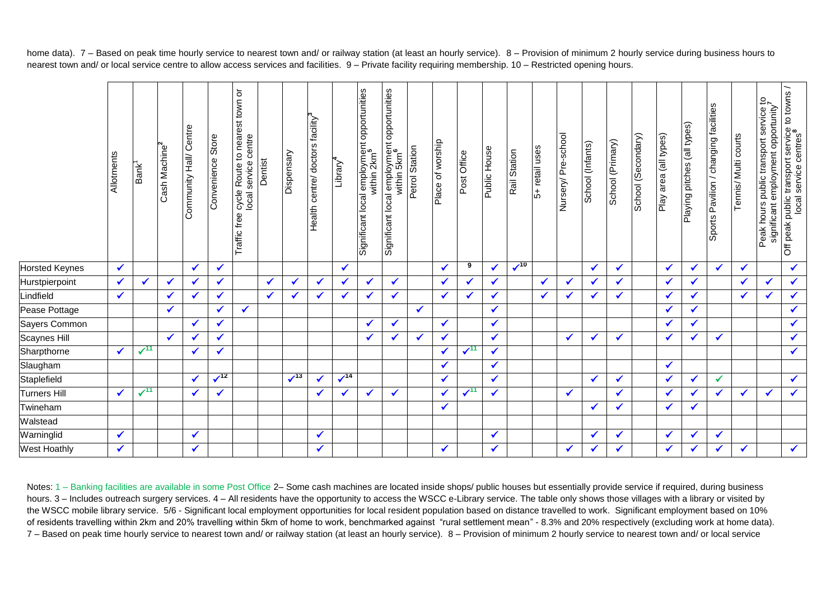Off peak public transport service to towns / Traffic free cycle Route to nearest town or Significant local employment opportunities Significant local employment opportunities town or Peak hours public transport service to Sports Pavilion / changing facilities **7** Sports Pavilion / changing facilities significant employment opportunity **82** Health centre/ doctors facility cycle Route to nearest<br>local service centre Playing pitches (all types) Playing pitches (all types) Community Hall/ Centre Community Hall/ Centre **8** Convenience Store Nursery/ Pre-school School (Secondary) Play area (all types) Tennis/ Multi courts Nursery/ Pre-school Play area (all types) Convenience Store local service centre School (Secondary) Tennis/ Multi courts local service centres School (Primary) Place of worship School (Primary) Place of worship School (Infants) School (Infants) Cash Machine **2** Petrol Station 5+ retail uses Public House Rail Station **Dispensary** within 2km **5** within 5km **6** Post Office **Allotments** Dentist Library **4** ι. Traffic free Horsted Keynes **<sup>9</sup>**  $\sqrt{10}$  Hurstpierpoint Lindfield Pease Pottage Sayers Common Scaynes Hill Sharpthorne  $\sqrt{11}$ **<sup>11</sup> <sup>11</sup>** Slaugham Staplefield  $\sqrt{12}$  $\sqrt{13}$   $\sqrt{14}$ **<sup>12</sup> <sup>14</sup>** Turners Hill  $\sqrt{11}$ 11 | **/** | **/** | | | | **/** | **/** | **/** | **/** | **/** | **/ <sup>11</sup>** Twineham Walstead Warninglid West Hoathly  $|\mathcal{N}|$   $|\mathcal{N}|$   $|\mathcal{N}|$   $|\mathcal{N}|$   $|\mathcal{N}|$   $|\mathcal{N}|$   $|\mathcal{N}|$   $|\mathcal{N}|$   $|\mathcal{N}|$   $|\mathcal{N}|$   $|\mathcal{N}|$   $|\mathcal{N}|$   $|\mathcal{N}|$ 

home data). 7 – Based on peak time hourly service to nearest town and/ or railway station (at least an hourly service). 8 – Provision of minimum 2 hourly service during business hours to nearest town and/ or local service centre to allow access services and facilities. 9 – Private facility requiring membership. 10 – Restricted opening hours.

Notes: 1 – Banking facilities are available in some Post Office 2– Some cash machines are located inside shops/ public houses but essentially provide service if required, during business hours. 3 – Includes outreach surgery services. 4 – All residents have the opportunity to access the WSCC e-Library service. The table only shows those villages with a library or visited by the WSCC mobile library service. 5/6 - Significant local employment opportunities for local resident population based on distance travelled to work. Significant employment based on 10% of residents travelling within 2km and 20% travelling within 5km of home to work, benchmarked against "rural settlement mean" - 8.3% and 20% respectively (excluding work at home data). 7 – Based on peak time hourly service to nearest town and/ or railway station (at least an hourly service). 8 – Provision of minimum 2 hourly service to nearest town and/ or local service